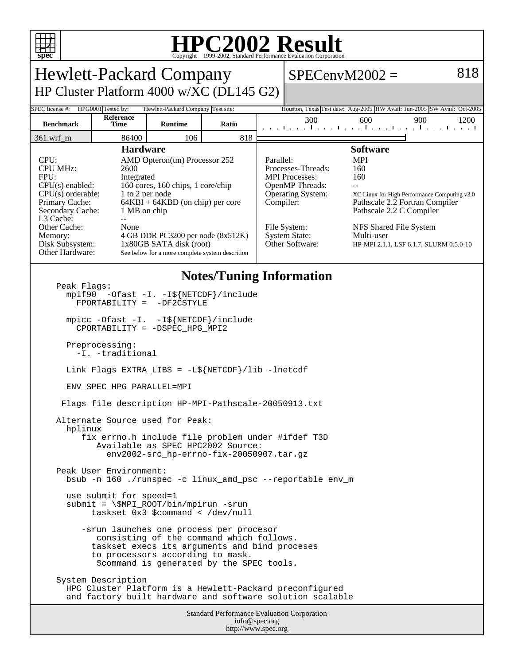

## **HPC2002 Result**

| <b>Hewlett-Packard Company</b>                                                                                                                                                                                                                                                                                                                                                                                                                                                                                          |                   |                |       |                        | $SPECenvM2002 =$                                                                                                                                             |                                                                                                                                                                                                                                              |     | 818  |
|-------------------------------------------------------------------------------------------------------------------------------------------------------------------------------------------------------------------------------------------------------------------------------------------------------------------------------------------------------------------------------------------------------------------------------------------------------------------------------------------------------------------------|-------------------|----------------|-------|------------------------|--------------------------------------------------------------------------------------------------------------------------------------------------------------|----------------------------------------------------------------------------------------------------------------------------------------------------------------------------------------------------------------------------------------------|-----|------|
| HP Cluster Platform 4000 w/XC (DL145 G2)                                                                                                                                                                                                                                                                                                                                                                                                                                                                                |                   |                |       |                        |                                                                                                                                                              |                                                                                                                                                                                                                                              |     |      |
| SPEC license #:<br>HPG0001 Tested by:<br>Hewlett-Packard Company Test site:<br>Houston, Texas Test date: Aug-2005 HW Avail: Jun-2005 SW Avail: Oct-2005                                                                                                                                                                                                                                                                                                                                                                 |                   |                |       |                        |                                                                                                                                                              |                                                                                                                                                                                                                                              |     |      |
| <b>Benchmark</b>                                                                                                                                                                                                                                                                                                                                                                                                                                                                                                        | Reference<br>Time | <b>Runtime</b> | Ratio |                        | 300                                                                                                                                                          | 600<br>المتما بتبايع بالمتباط بالمتحا والمتاري                                                                                                                                                                                               | 900 | 1200 |
| $361.wrf_m$                                                                                                                                                                                                                                                                                                                                                                                                                                                                                                             | 86400             | 106            | 818   |                        |                                                                                                                                                              |                                                                                                                                                                                                                                              |     |      |
| <b>Hardware</b><br>CPU:<br>AMD Opteron(tm) Processor 252<br><b>CPU MHz:</b><br>2600<br>FPU:<br>Integrated<br>CPU(s) enabled:<br>160 cores, 160 chips, 1 core/chip<br>$CPU(s)$ orderable:<br>1 to 2 per node<br>$64KBI + 64KBD$ (on chip) per core<br>Primary Cache:<br>Secondary Cache:<br>1 MB on chip<br>L3 Cache:<br>$-$<br>Other Cache:<br>None<br>4 GB DDR PC3200 per node (8x512K)<br>Memory:<br>Disk Subsystem:<br>1x80GB SATA disk (root)<br>Other Hardware:<br>See below for a more complete system descrition |                   |                |       | Parallel:<br>Compiler: | Processes-Threads:<br><b>MPI</b> Processes:<br><b>OpenMP</b> Threads:<br><b>Operating System:</b><br>File System:<br><b>System State:</b><br>Other Software: | <b>Software</b><br><b>MPI</b><br>160<br>160<br>XC Linux for High Performance Computing v3.0<br>Pathscale 2.2 Fortran Compiler<br>Pathscale 2.2 C Compiler<br>NFS Shared File System<br>Multi-user<br>HP-MPI 2.1.1, LSF 6.1.7, SLURM 0.5.0-10 |     |      |
| <b>Notes/Tuning Information</b><br>Peak Flags:<br>mpif90 -Ofast -I. -I\${NETCDF}/include<br>$FPORTABILITY =$<br>-DF2CSTYLE<br>mpicc -Ofast -I. -I\${NETCDF}/include<br>CPORTABILITY = -DSPEC_HPG_MPI2                                                                                                                                                                                                                                                                                                                   |                   |                |       |                        |                                                                                                                                                              |                                                                                                                                                                                                                                              |     |      |
| Preprocessing:<br>-I. -traditional                                                                                                                                                                                                                                                                                                                                                                                                                                                                                      |                   |                |       |                        |                                                                                                                                                              |                                                                                                                                                                                                                                              |     |      |
| Link Flags EXTRA_LIBS = $-L\$ {NETCDF}/lib -lnetcdf                                                                                                                                                                                                                                                                                                                                                                                                                                                                     |                   |                |       |                        |                                                                                                                                                              |                                                                                                                                                                                                                                              |     |      |
| ENV_SPEC_HPG_PARALLEL=MPI                                                                                                                                                                                                                                                                                                                                                                                                                                                                                               |                   |                |       |                        |                                                                                                                                                              |                                                                                                                                                                                                                                              |     |      |
| Flags file description HP-MPI-Pathscale-20050913.txt                                                                                                                                                                                                                                                                                                                                                                                                                                                                    |                   |                |       |                        |                                                                                                                                                              |                                                                                                                                                                                                                                              |     |      |
| Alternate Source used for Peak:<br>hplinux<br>fix errno.h include file problem under #ifdef T3D<br>Available as SPEC HPC2002 Source:<br>env2002-src hp-errno-fix-20050907.tar.qz                                                                                                                                                                                                                                                                                                                                        |                   |                |       |                        |                                                                                                                                                              |                                                                                                                                                                                                                                              |     |      |
| Peak User Environment:<br>bsub -n 160 ./runspec -c linux_amd_psc --reportable env_m                                                                                                                                                                                                                                                                                                                                                                                                                                     |                   |                |       |                        |                                                                                                                                                              |                                                                                                                                                                                                                                              |     |      |
| use_submit_for_speed=1<br>$submit = \$MPI_ROOT/bin/mpirun -srun$<br>taskset 0x3 \$command < /dev/null                                                                                                                                                                                                                                                                                                                                                                                                                   |                   |                |       |                        |                                                                                                                                                              |                                                                                                                                                                                                                                              |     |      |
| -srun launches one process per procesor<br>consisting of the command which follows.<br>taskset execs its arguments and bind proceses<br>to processors according to mask.<br>\$command is generated by the SPEC tools.                                                                                                                                                                                                                                                                                                   |                   |                |       |                        |                                                                                                                                                              |                                                                                                                                                                                                                                              |     |      |
| System Description<br>HPC Cluster Platform is a Hewlett-Packard preconfigured<br>and factory built hardware and software solution scalable                                                                                                                                                                                                                                                                                                                                                                              |                   |                |       |                        |                                                                                                                                                              |                                                                                                                                                                                                                                              |     |      |
| <b>Standard Performance Evaluation Corporation</b><br>info@spec.org                                                                                                                                                                                                                                                                                                                                                                                                                                                     |                   |                |       |                        |                                                                                                                                                              |                                                                                                                                                                                                                                              |     |      |

http://www.spec.org